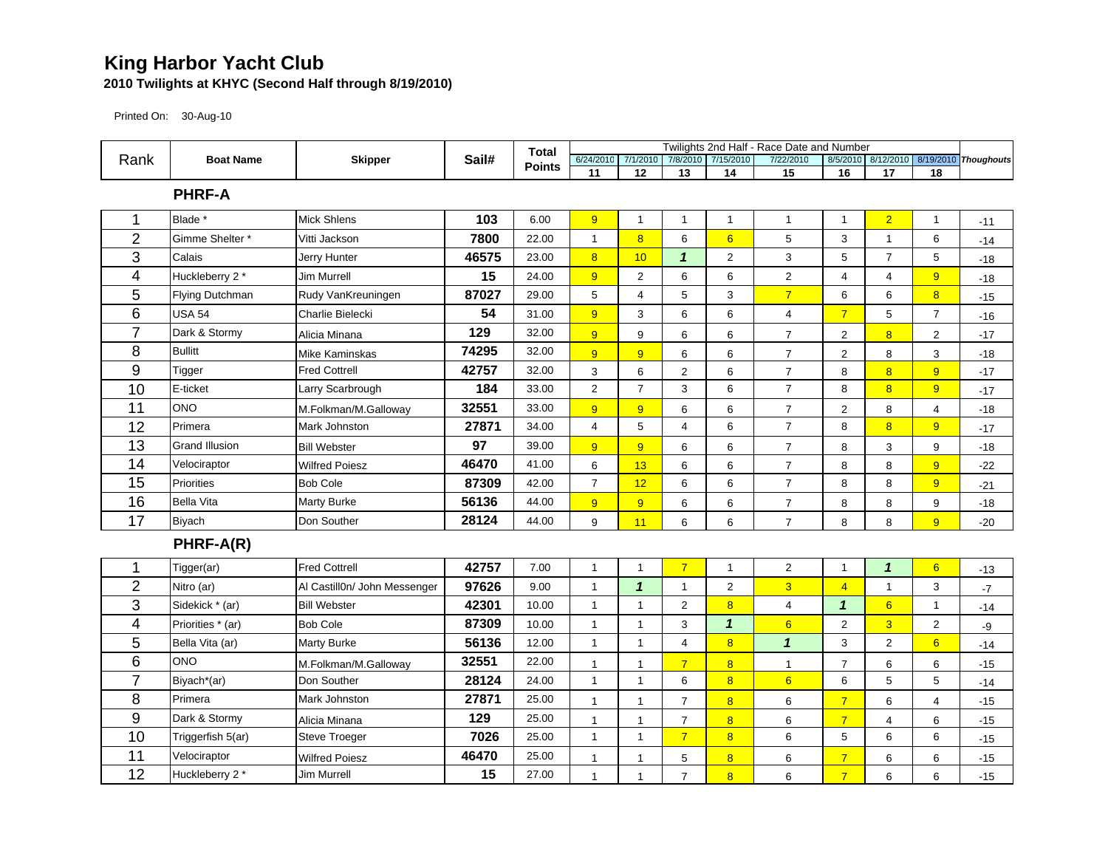## **King Harbor Yacht Club**

## **2010 Twilights at KHYC (Second Half through 8/19/2010)**

Printed On: 30-Aug-10

|                         | <b>Boat Name</b>      |                              |       | <b>Total</b>  |                           |                    |                |                            | Twilights 2nd Half - Race Date and Number |                |                            |                  |                                         |
|-------------------------|-----------------------|------------------------------|-------|---------------|---------------------------|--------------------|----------------|----------------------------|-------------------------------------------|----------------|----------------------------|------------------|-----------------------------------------|
| Rank                    |                       | <b>Skipper</b>               | Sail# | <b>Points</b> |                           | 6/24/2010 7/1/2010 |                | 7/8/2010 7/15/2010         | 7/22/2010                                 |                |                            |                  | 8/5/2010 8/12/2010 8/19/2010 Thoughouts |
|                         |                       |                              |       |               | 11                        | 12                 | 13             | 14                         | 15                                        | 16             | 17                         | 18               |                                         |
| <b>PHRF-A</b>           |                       |                              |       |               |                           |                    |                |                            |                                           |                |                            |                  |                                         |
| 1                       | Blade <sup>*</sup>    | Mick Shlens                  | 103   | 6.00          | 9                         | $\mathbf{1}$       | $\mathbf{1}$   | $\mathbf{1}$               | $\mathbf{1}$                              | $\mathbf{1}$   | $\overline{2}$             | $\mathbf{1}$     | $-11$                                   |
| $\overline{2}$          | Gimme Shelter *       | Vitti Jackson                | 7800  | 22.00         | $\mathbf{1}$              | $\overline{8}$     | 6              | $6\overline{}$             | 5                                         | 3              | $\mathbf{1}$               | 6                | $-14$                                   |
| 3                       | Calais                | Jerry Hunter                 | 46575 | 23.00         | $\overline{\mathbf{8}}$   | 10                 | $\mathbf{1}$   | $\overline{c}$             | 3                                         | 5              | $\overline{7}$             | 5                | $-18$                                   |
| 4                       | Huckleberry 2 *       | <b>Jim Murrell</b>           | 15    | 24.00         | 9                         | $\overline{2}$     | 6              | 6                          | $\overline{\mathbf{c}}$                   | 4              | 4                          | 9                | $-18$                                   |
| 5                       | Flying Dutchman       | Rudy VanKreuningen           | 87027 | 29.00         | 5                         | $\overline{4}$     | 5              | 3                          | $\overline{7}$                            | 6              | 6                          | $\overline{8}$   | $-15$                                   |
| 6                       | <b>USA 54</b>         | Charlie Bielecki             | 54    | 31.00         | 9                         | 3                  | 6              | 6                          | 4                                         | $\overline{7}$ | 5                          | $\overline{7}$   | $-16$                                   |
| $\overline{7}$          | Dark & Stormy         | Alicia Minana                | 129   | 32.00         | $\overline{9}$            | $\boldsymbol{9}$   | 6              | 6                          | $\overline{7}$                            | $\overline{c}$ | $\overline{8}$             | $\overline{c}$   | $-17$                                   |
| 8                       | <b>Bullitt</b>        | <b>Mike Kaminskas</b>        | 74295 | 32.00         | $\overline{9}$            | $\overline{9}$     | 6              | 6                          | $\boldsymbol{7}$                          | $\overline{2}$ | 8                          | 3                | $-18$                                   |
| 9                       | Tigger                | <b>Fred Cottrell</b>         | 42757 | 32.00         | $\ensuremath{\mathsf{3}}$ | 6                  | $\overline{2}$ | 6                          | $\overline{7}$                            | 8              | $\overline{8}$             | 9 <sup>°</sup>   | $-17$                                   |
| 10                      | E-ticket              | Larry Scarbrough             | 184   | 33.00         | $\overline{2}$            | $\overline{7}$     | 3              | 6                          | $\overline{7}$                            | 8              | 8                          | 9                | $-17$                                   |
| 11                      | <b>ONO</b>            | M.Folkman/M.Galloway         | 32551 | 33.00         | $\overline{9}$            | $\overline{9}$     | 6              | 6                          | $\overline{7}$                            | $\overline{2}$ | 8                          | $\overline{4}$   | $-18$                                   |
| 12                      | Primera               | Mark Johnston                | 27871 | 34.00         | $\overline{4}$            | 5                  | $\overline{4}$ | 6                          | $\overline{7}$                            | 8              | $\overline{8}$             | $\overline{9}$   | $-17$                                   |
| 13                      | <b>Grand Illusion</b> | <b>Bill Webster</b>          | 97    | 39.00         | 9                         | $\overline{9}$     | 6              | 6                          | $\boldsymbol{7}$                          | 8              | 3                          | $\boldsymbol{9}$ | $-18$                                   |
| 14                      | Velociraptor          | <b>Wilfred Poiesz</b>        | 46470 | 41.00         | 6                         | 13                 | 6              | 6                          | $\overline{7}$                            | 8              | 8                          | $\overline{9}$   | $-22$                                   |
| 15                      | <b>Priorities</b>     | <b>Bob Cole</b>              | 87309 | 42.00         | $\overline{7}$            | 12                 | 6              | 6                          | $\overline{7}$                            | 8              | 8                          | 9                | $-21$                                   |
| 16                      | <b>Bella Vita</b>     | <b>Marty Burke</b>           | 56136 | 44.00         | 9                         | 9                  | 6              | 6                          | $\overline{7}$                            | 8              | 8                          | 9                | $-18$                                   |
| 17                      | <b>Biyach</b>         | Don Souther                  | 28124 | 44.00         | $\boldsymbol{9}$          | 11                 | 6              | 6                          | $\overline{7}$                            | 8              | 8                          | $\overline{9}$   | $-20$                                   |
|                         | PHRF-A(R)             |                              |       |               |                           |                    |                |                            |                                           |                |                            |                  |                                         |
| 1                       | Tigger(ar)            | <b>Fred Cottrell</b>         | 42757 | 7.00          | $\mathbf{1}$              | $\mathbf{1}$       | $\overline{7}$ | $\mathbf{1}$               | $\mathbf 2$                               | $\mathbf{1}$   | $\boldsymbol{\mathcal{L}}$ | $6\phantom{a}$   | $-13$                                   |
| $\overline{2}$          | Nitro (ar)            | Al Castill0n/ John Messenger | 97626 | 9.00          | $\mathbf{1}$              | $\mathbf{1}$       | $\mathbf{1}$   | $\overline{c}$             | $\overline{3}$                            | $\overline{4}$ | $\overline{1}$             | 3                | $-7$                                    |
| 3                       | Sidekick * (ar)       | <b>Bill Webster</b>          | 42301 | 10.00         | $\mathbf{1}$              | $\mathbf{1}$       | $\overline{2}$ | 8                          | 4                                         | $\mathbf{1}$   | 6                          | $\mathbf{1}$     | $-14$                                   |
| $\overline{\mathbf{4}}$ | Priorities * (ar)     | <b>Bob Cole</b>              | 87309 | 10.00         | $\mathbf{1}$              | $\mathbf{1}$       | 3              | $\boldsymbol{\mathcal{L}}$ | $6\overline{6}$                           | $\overline{2}$ | $\overline{3}$             | $\overline{c}$   | -9                                      |
| 5                       | Bella Vita (ar)       | Marty Burke                  | 56136 | 12.00         | $\mathbf{1}$              | $\mathbf{1}$       | $\overline{4}$ | $\overline{8}$             | $\mathbf{1}$                              | 3              | $\overline{c}$             | $6\overline{6}$  | $-14$                                   |
| 6                       | <b>ONO</b>            | M.Folkman/M.Galloway         | 32551 | 22.00         | $\mathbf{1}$              | $\mathbf{1}$       | $\overline{7}$ | $\overline{\mathbf{8}}$    | $\mathbf{1}$                              | $\overline{7}$ | $\,6$                      | $\,6\,$          | $-15$                                   |
| $\overline{7}$          | Biyach*(ar)           | Don Souther                  | 28124 | 24.00         | $\mathbf{1}$              | $\mathbf{1}$       | 6              | 8                          | 6                                         | 6              | 5                          | 5                | $-14$                                   |
| 8                       | Primera               | <b>Mark Johnston</b>         | 27871 | 25.00         | $\mathbf{1}$              | $\mathbf{1}$       | $\overline{7}$ | $\overline{8}$             | 6                                         | $\overline{7}$ | 6                          | $\overline{4}$   | $-15$                                   |
| 9                       | Dark & Stormy         | Alicia Minana                | 129   | 25.00         | $\mathbf{1}$              | $\mathbf{1}$       | $\overline{7}$ | 8                          | 6                                         | $\overline{7}$ | $\overline{4}$             | 6                | $-15$                                   |
| 10                      | Triggerfish 5(ar)     | Steve Troeger                | 7026  | 25.00         | $\mathbf{1}$              | $\mathbf{1}$       | $\overline{7}$ | $\overline{8}$             | 6                                         | 5              | 6                          | 6                | $-15$                                   |
| 11                      | Velociraptor          | <b>Wilfred Poiesz</b>        | 46470 | 25.00         | $\mathbf{1}$              | $\mathbf{1}$       | 5              | $\overline{\mathbf{8}}$    | 6                                         | $\overline{7}$ | 6                          | 6                | $-15$                                   |
| 12                      | Huckleberry 2 *       | <b>Jim Murrell</b>           | 15    | 27.00         | $\mathbf{1}$              | $\mathbf{1}$       | $\overline{7}$ | $\overline{8}$             | 6                                         | $\overline{7}$ | 6                          | 6                | $-15$                                   |